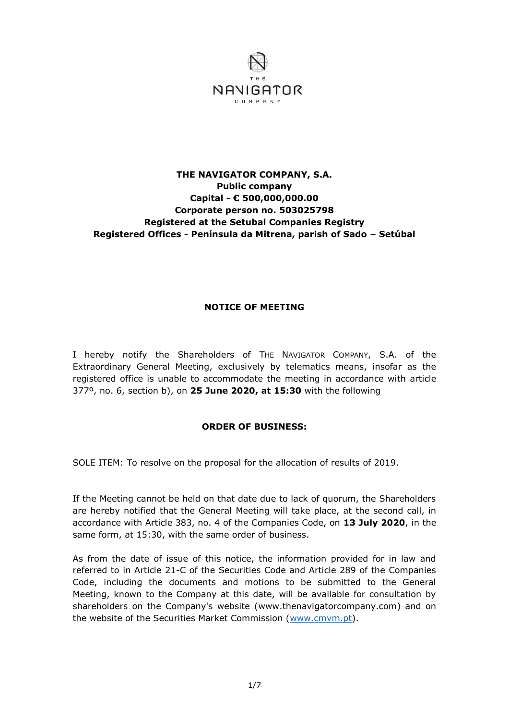

## **THE NAVIGATOR COMPANY, S.A. Public company Capital - € 500,000,000.00 Corporate person no. 503025798 Registered at the Setubal Companies Registry Registered Offices - Península da Mitrena, parish of Sado – Setúbal**

## **NOTICE OF MEETING**

I hereby notify the Shareholders of THE NAVIGATOR COMPANY, S.A. of the Extraordinary General Meeting, exclusively by telematics means, insofar as the registered office is unable to accommodate the meeting in accordance with article 377º, no. 6, section b), on **25 June 2020, at 15:30** with the following

## **ORDER OF BUSINESS:**

SOLE ITEM: To resolve on the proposal for the allocation of results of 2019.

If the Meeting cannot be held on that date due to lack of quorum, the Shareholders are hereby notified that the General Meeting will take place, at the second call, in accordance with Article 383, no. 4 of the Companies Code, on **13 July 2020**, in the same form, at 15:30, with the same order of business.

As from the date of issue of this notice, the information provided for in law and referred to in Article 21-C of the Securities Code and Article 289 of the Companies Code, including the documents and motions to be submitted to the General Meeting, known to the Company at this date, will be available for consultation by shareholders on the Company's website (www.thenavigatorcompany.com) and on the website of the Securities Market Commission [\(www.cmvm.pt\)](http://www.cmvm.pt/).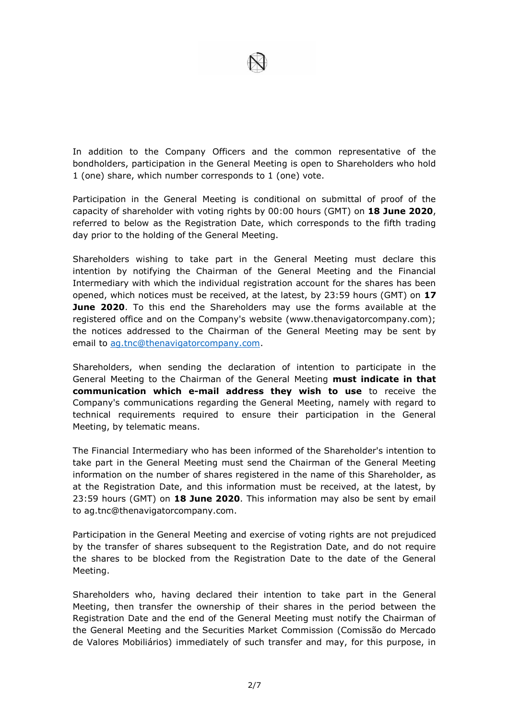

In addition to the Company Officers and the common representative of the bondholders, participation in the General Meeting is open to Shareholders who hold 1 (one) share, which number corresponds to 1 (one) vote.

Participation in the General Meeting is conditional on submittal of proof of the capacity of shareholder with voting rights by 00:00 hours (GMT) on **18 June 2020**, referred to below as the Registration Date, which corresponds to the fifth trading day prior to the holding of the General Meeting.

Shareholders wishing to take part in the General Meeting must declare this intention by notifying the Chairman of the General Meeting and the Financial Intermediary with which the individual registration account for the shares has been opened, which notices must be received, at the latest, by 23:59 hours (GMT) on **17 June 2020**. To this end the Shareholders may use the forms available at the registered office and on the Company's website (www.thenavigatorcompany.com); the notices addressed to the Chairman of the General Meeting may be sent by email to [ag.tnc@thenavigatorcompany.com.](mailto:ag.tnc@thenavigatorcompany.com)

Shareholders, when sending the declaration of intention to participate in the General Meeting to the Chairman of the General Meeting **must indicate in that communication which e-mail address they wish to use** to receive the Company's communications regarding the General Meeting, namely with regard to technical requirements required to ensure their participation in the General Meeting, by telematic means.

The Financial Intermediary who has been informed of the Shareholder's intention to take part in the General Meeting must send the Chairman of the General Meeting information on the number of shares registered in the name of this Shareholder, as at the Registration Date, and this information must be received, at the latest, by 23:59 hours (GMT) on **18 June 2020**. This information may also be sent by email to ag.tnc@thenavigatorcompany.com.

Participation in the General Meeting and exercise of voting rights are not prejudiced by the transfer of shares subsequent to the Registration Date, and do not require the shares to be blocked from the Registration Date to the date of the General Meeting.

Shareholders who, having declared their intention to take part in the General Meeting, then transfer the ownership of their shares in the period between the Registration Date and the end of the General Meeting must notify the Chairman of the General Meeting and the Securities Market Commission (Comissão do Mercado de Valores Mobiliários) immediately of such transfer and may, for this purpose, in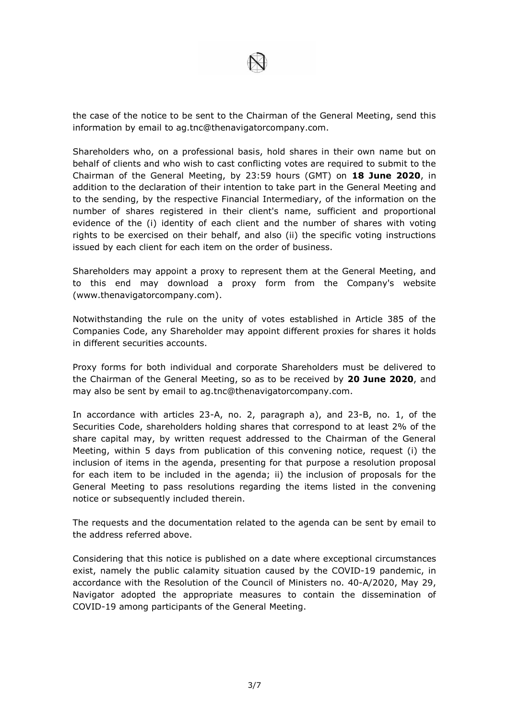

the case of the notice to be sent to the Chairman of the General Meeting, send this information by email to ag.tnc@thenavigatorcompany.com.

Shareholders who, on a professional basis, hold shares in their own name but on behalf of clients and who wish to cast conflicting votes are required to submit to the Chairman of the General Meeting, by 23:59 hours (GMT) on **18 June 2020**, in addition to the declaration of their intention to take part in the General Meeting and to the sending, by the respective Financial Intermediary, of the information on the number of shares registered in their client's name, sufficient and proportional evidence of the (i) identity of each client and the number of shares with voting rights to be exercised on their behalf, and also (ii) the specific voting instructions issued by each client for each item on the order of business.

Shareholders may appoint a proxy to represent them at the General Meeting, and to this end may download a proxy form from the Company's website (www.thenavigatorcompany.com).

Notwithstanding the rule on the unity of votes established in Article 385 of the Companies Code, any Shareholder may appoint different proxies for shares it holds in different securities accounts.

Proxy forms for both individual and corporate Shareholders must be delivered to the Chairman of the General Meeting, so as to be received by **20 June 2020**, and may also be sent by email to ag.tnc@thenavigatorcompany.com.

In accordance with articles 23-A, no. 2, paragraph a), and 23-B, no. 1, of the Securities Code, shareholders holding shares that correspond to at least 2% of the share capital may, by written request addressed to the Chairman of the General Meeting, within 5 days from publication of this convening notice, request (i) the inclusion of items in the agenda, presenting for that purpose a resolution proposal for each item to be included in the agenda; ii) the inclusion of proposals for the General Meeting to pass resolutions regarding the items listed in the convening notice or subsequently included therein.

The requests and the documentation related to the agenda can be sent by email to the address referred above.

Considering that this notice is published on a date where exceptional circumstances exist, namely the public calamity situation caused by the COVID-19 pandemic, in accordance with the Resolution of the Council of Ministers no. 40-A/2020, May 29, Navigator adopted the appropriate measures to contain the dissemination of COVID-19 among participants of the General Meeting.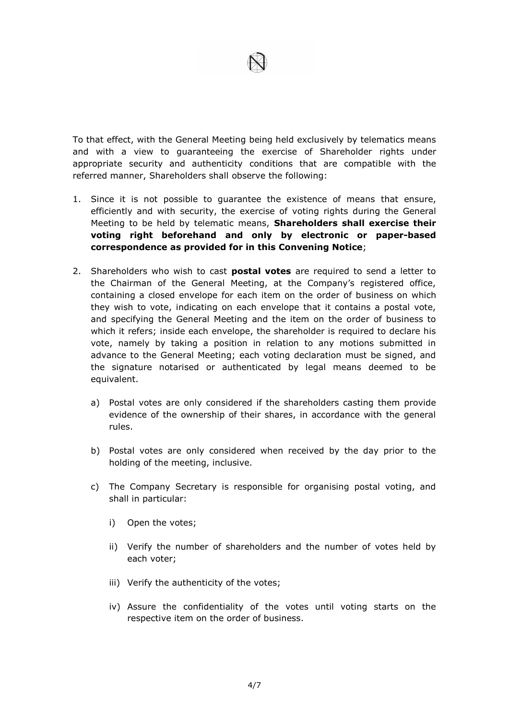

To that effect, with the General Meeting being held exclusively by telematics means and with a view to guaranteeing the exercise of Shareholder rights under appropriate security and authenticity conditions that are compatible with the referred manner, Shareholders shall observe the following:

- 1. Since it is not possible to guarantee the existence of means that ensure, efficiently and with security, the exercise of voting rights during the General Meeting to be held by telematic means, **Shareholders shall exercise their voting right beforehand and only by electronic or paper-based correspondence as provided for in this Convening Notice**;
- 2. Shareholders who wish to cast **postal votes** are required to send a letter to the Chairman of the General Meeting, at the Company's registered office, containing a closed envelope for each item on the order of business on which they wish to vote, indicating on each envelope that it contains a postal vote, and specifying the General Meeting and the item on the order of business to which it refers; inside each envelope, the shareholder is required to declare his vote, namely by taking a position in relation to any motions submitted in advance to the General Meeting; each voting declaration must be signed, and the signature notarised or authenticated by legal means deemed to be equivalent.
	- a) Postal votes are only considered if the shareholders casting them provide evidence of the ownership of their shares, in accordance with the general rules.
	- b) Postal votes are only considered when received by the day prior to the holding of the meeting, inclusive.
	- c) The Company Secretary is responsible for organising postal voting, and shall in particular:
		- i) Open the votes;
		- ii) Verify the number of shareholders and the number of votes held by each voter;
		- iii) Verify the authenticity of the votes;
		- iv) Assure the confidentiality of the votes until voting starts on the respective item on the order of business.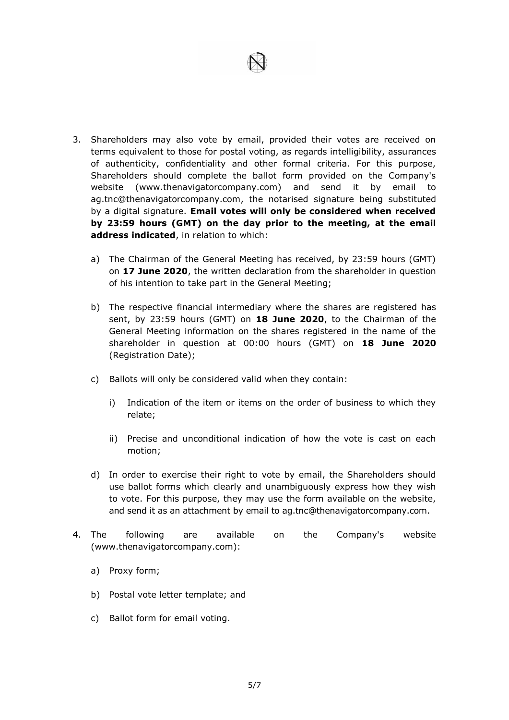

- 3. Shareholders may also vote by email, provided their votes are received on terms equivalent to those for postal voting, as regards intelligibility, assurances of authenticity, confidentiality and other formal criteria. For this purpose, Shareholders should complete the ballot form provided on the Company's website (www.thenavigatorcompany.com) and send it by email to ag.tnc@thenavigatorcompany.com, the notarised signature being substituted by a digital signature. **Email votes will only be considered when received by 23:59 hours (GMT) on the day prior to the meeting, at the email address indicated**, in relation to which:
	- a) The Chairman of the General Meeting has received, by 23:59 hours (GMT) on **17 June 2020**, the written declaration from the shareholder in question of his intention to take part in the General Meeting;
	- b) The respective financial intermediary where the shares are registered has sent, by 23:59 hours (GMT) on **18 June 2020**, to the Chairman of the General Meeting information on the shares registered in the name of the shareholder in question at 00:00 hours (GMT) on **18 June 2020**  (Registration Date);
	- c) Ballots will only be considered valid when they contain:
		- i) Indication of the item or items on the order of business to which they relate;
		- ii) Precise and unconditional indication of how the vote is cast on each motion;
	- d) In order to exercise their right to vote by email, the Shareholders should use ballot forms which clearly and unambiguously express how they wish to vote. For this purpose, they may use the form available on the website, and send it as an attachment by email to ag.tnc@thenavigatorcompany.com.
- 4. The following are available on the Company's website (www.thenavigatorcompany.com):
	- a) Proxy form;
	- b) Postal vote letter template; and
	- c) Ballot form for email voting.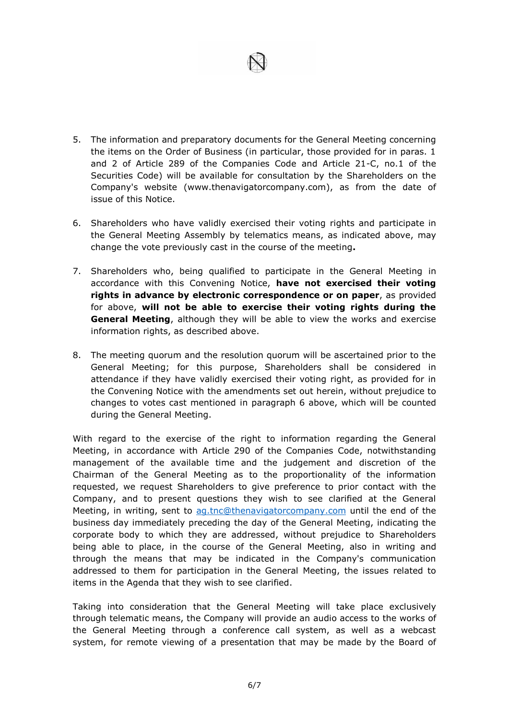

- 5. The information and preparatory documents for the General Meeting concerning the items on the Order of Business (in particular, those provided for in paras. 1 and 2 of Article 289 of the Companies Code and Article 21-C, no.1 of the Securities Code) will be available for consultation by the Shareholders on the Company's website (www.thenavigatorcompany.com), as from the date of issue of this Notice.
- 6. Shareholders who have validly exercised their voting rights and participate in the General Meeting Assembly by telematics means, as indicated above, may change the vote previously cast in the course of the meeting**.**
- 7. Shareholders who, being qualified to participate in the General Meeting in accordance with this Convening Notice, **have not exercised their voting rights in advance by electronic correspondence or on paper**, as provided for above, **will not be able to exercise their voting rights during the General Meeting**, although they will be able to view the works and exercise information rights, as described above.
- 8. The meeting quorum and the resolution quorum will be ascertained prior to the General Meeting; for this purpose, Shareholders shall be considered in attendance if they have validly exercised their voting right, as provided for in the Convening Notice with the amendments set out herein, without prejudice to changes to votes cast mentioned in paragraph 6 above, which will be counted during the General Meeting.

With regard to the exercise of the right to information regarding the General Meeting, in accordance with Article 290 of the Companies Code, notwithstanding management of the available time and the judgement and discretion of the Chairman of the General Meeting as to the proportionality of the information requested, we request Shareholders to give preference to prior contact with the Company, and to present questions they wish to see clarified at the General Meeting, in writing, sent to [ag.tnc@thenavigatorcompany.com](mailto:ag.tnc@thenavigatorcompany.com) until the end of the business day immediately preceding the day of the General Meeting, indicating the corporate body to which they are addressed, without prejudice to Shareholders being able to place, in the course of the General Meeting, also in writing and through the means that may be indicated in the Company's communication addressed to them for participation in the General Meeting, the issues related to items in the Agenda that they wish to see clarified.

Taking into consideration that the General Meeting will take place exclusively through telematic means, the Company will provide an audio access to the works of the General Meeting through a conference call system, as well as a webcast system, for remote viewing of a presentation that may be made by the Board of